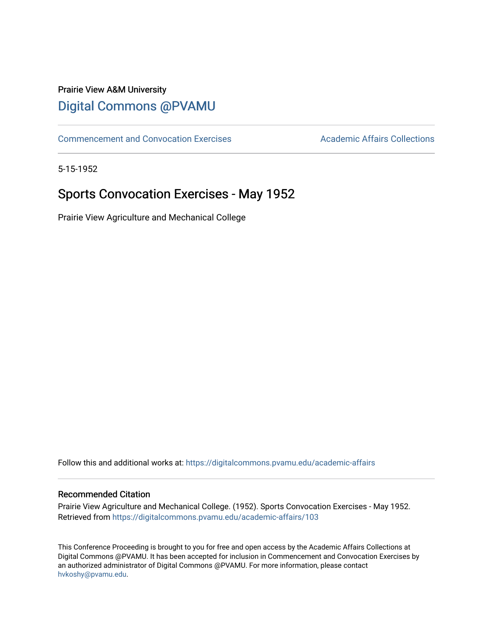## Prairie View A&M University [Digital Commons @PVAMU](https://digitalcommons.pvamu.edu/)

[Commencement and Convocation Exercises](https://digitalcommons.pvamu.edu/academic-affairs) **Academic Affairs Collections** 

5-15-1952

# Sports Convocation Exercises - May 1952

Prairie View Agriculture and Mechanical College

Follow this and additional works at: [https://digitalcommons.pvamu.edu/academic-affairs](https://digitalcommons.pvamu.edu/academic-affairs?utm_source=digitalcommons.pvamu.edu%2Facademic-affairs%2F103&utm_medium=PDF&utm_campaign=PDFCoverPages)

### Recommended Citation

Prairie View Agriculture and Mechanical College. (1952). Sports Convocation Exercises - May 1952. Retrieved from [https://digitalcommons.pvamu.edu/academic-affairs/103](https://digitalcommons.pvamu.edu/academic-affairs/103?utm_source=digitalcommons.pvamu.edu%2Facademic-affairs%2F103&utm_medium=PDF&utm_campaign=PDFCoverPages) 

This Conference Proceeding is brought to you for free and open access by the Academic Affairs Collections at Digital Commons @PVAMU. It has been accepted for inclusion in Commencement and Convocation Exercises by an authorized administrator of Digital Commons @PVAMU. For more information, please contact [hvkoshy@pvamu.edu](mailto:hvkoshy@pvamu.edu).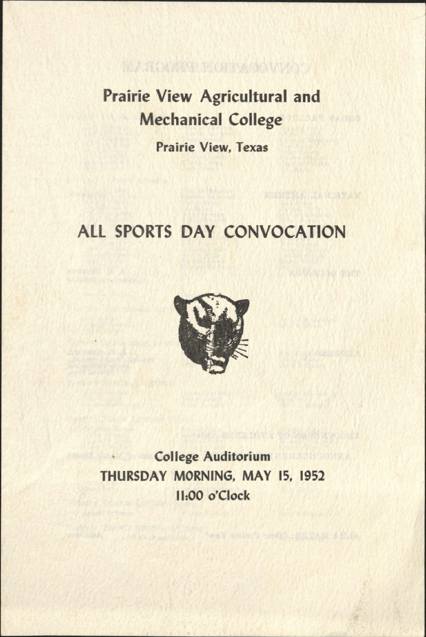# Prairie View Agricultural and Mechanical College

MAROONT MORTANO WIQOO

Prairie View, Texas

# ALL SPORTS DAY CONVOCATION

**WOUNDOO AND** 



College Auditorium THURSDAY MORNING, MAY 15, 1952 11:00 o'Clock

Strategic of the County of the County of the County of the County of the County of the County of the County of the County of the County of the County of the County of the County of the County of the County of the County of

son geological ten who has himselfully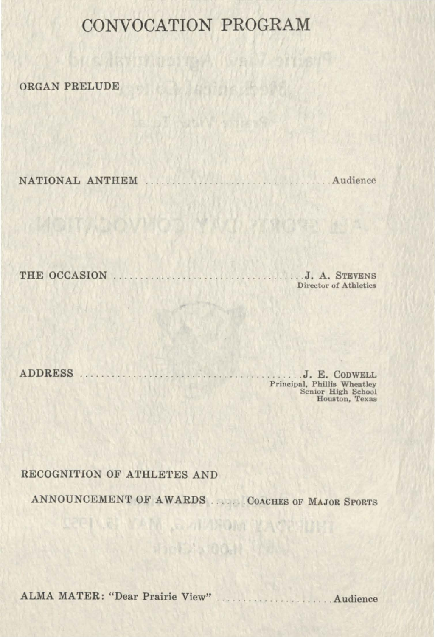## **CONVOCATION PROGRAM**

ORGAN PRELUDE

NATIONAL ANTHEM . . . . . . . . . . . . . . . . Audience

THE OCCASION . . . . . . . . . . . . . . . . . . . . . . . . . . . . . . . .. J. A. STEVENS

Director of Athletics

ADDRESS . . . . . . . . . . . . . . . . . . . . . . . . . . . . . . . . . . . . . J. E. CODWELL Principal, Phillis Wheatley<br>Senior High School<br>Houston, Texas

### RECOGNITION OF ATHLETES AND

ANNOUNCEMENT OF AWARDS ...... COACHES OF MAJOR SPORTS

REPUBLIKAN LOMMROM IKACINING diploated to the

ALMA MATER: "Dear Prairie View" . . . . . . . . . . . . . . . . Audience